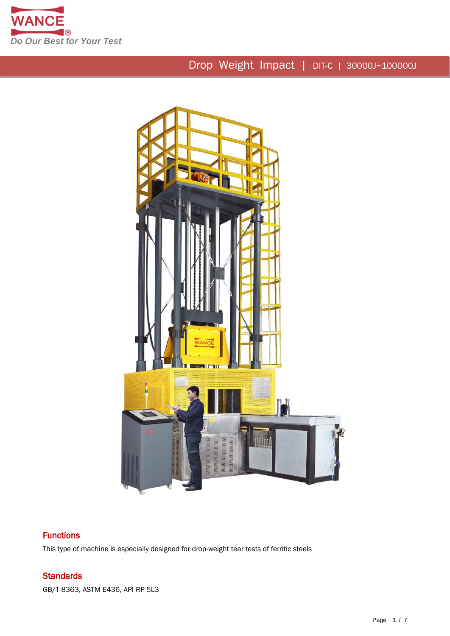



## **Functions**

This type of machine is especially designed for drop-weight tear tests of ferritic steels

## **Standards**

GB/T 8363, ASTM E436, API RP 5L3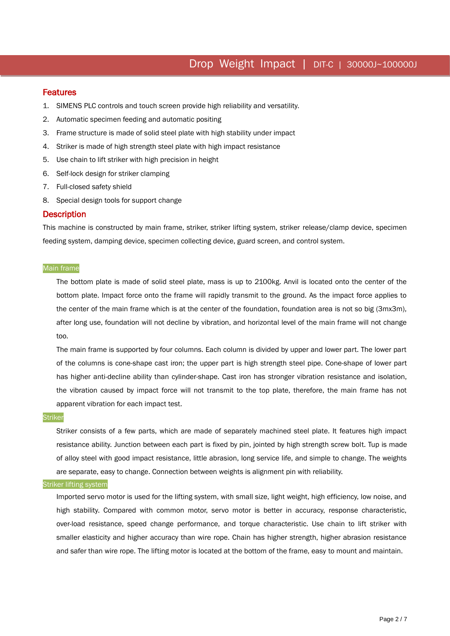## **Features**

I

1. SIMENS PLC controls and touch screen provide high reliability and versatility.

- 2. Automatic specimen feeding and automatic positing
- 3. Frame structure is made of solid steel plate with high stability under impact
- 4. Striker is made of high strength steel plate with high impact resistance
- 5. Use chain to lift striker with high precision in height
- 6. Self-lock design for striker clamping
- 7. Full-closed safety shield
- 8. Special design tools for support change

### **Description**

This machine is constructed by main frame, striker, striker lifting system, striker release/clamp device, specimen feeding system, damping device, specimen collecting device, guard screen, and control system.

### Main frame

The bottom plate is made of solid steel plate, mass is up to 2100kg. Anvil is located onto the center of the bottom plate. Impact force onto the frame will rapidly transmit to the ground. As the impact force applies to the center of the main frame which is at the center of the foundation, foundation area is not so big (3mx3m), after long use, foundation will not decline by vibration, and horizontal level of the main frame will not change too.

The main frame is supported by four columns. Each column is divided by upper and lower part. The lower part of the columns is cone-shape cast iron; the upper part is high strength steel pipe. Cone-shape of lower part has higher anti-decline ability than cylinder-shape. Cast iron has stronger vibration resistance and isolation, the vibration caused by impact force will not transmit to the top plate, therefore, the main frame has not apparent vibration for each impact test.

### **Striker**

Striker consists of a few parts, which are made of separately machined steel plate. It features high impact resistance ability. Junction between each part is fixed by pin, jointed by high strength screw bolt. Tup is made of alloy steel with good impact resistance, little abrasion, long service life, and simple to change. The weights are separate, easy to change. Connection between weights is alignment pin with reliability.

### **Striker lifting system**

Imported servo motor is used for the lifting system, with small size, light weight, high efficiency, low noise, and high stability. Compared with common motor, servo motor is better in accuracy, response characteristic, over-load resistance, speed change performance, and torque characteristic. Use chain to lift striker with smaller elasticity and higher accuracy than wire rope. Chain has higher strength, higher abrasion resistance and safer than wire rope. The lifting motor is located at the bottom of the frame, easy to mount and maintain.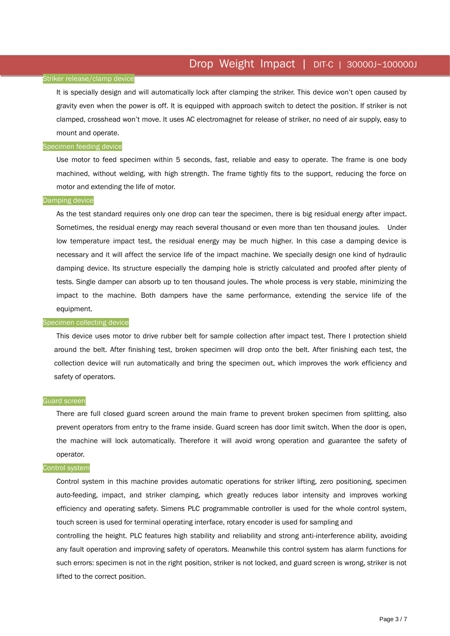### Striker release/clamp device

It is specially design and will automatically lock after clamping the striker. This device won't open caused by gravity even when the power is off. It is equipped with approach switch to detect the position. If striker is not clamped, crosshead won't move. It uses AC electromagnet for release of striker, no need of air supply, easy to mount and operate.

### Specimen feeding device

Use motor to feed specimen within 5 seconds, fast, reliable and easy to operate. The frame is one body machined, without welding, with high strength. The frame tightly fits to the support, reducing the force on motor and extending the life of motor.

#### Damping device

As the test standard requires only one drop can tear the specimen, there is big residual energy after impact. Sometimes, the residual energy may reach several thousand or even more than ten thousand joules. Under low temperature impact test, the residual energy may be much higher. In this case a damping device is necessary and it will affect the service life of the impact machine. We specially design one kind of hydraulic damping device. Its structure especially the damping hole is strictly calculated and proofed after plenty of tests. Single damper can absorb up to ten thousand joules. The whole process is very stable, minimizing the impact to the machine. Both dampers have the same performance, extending the service life of the equipment.

#### Specimen collecting device

This device uses motor to drive rubber belt for sample collection after impact test. There I protection shield around the belt. After finishing test, broken specimen will drop onto the belt. After finishing each test, the collection device will run automatically and bring the specimen out, which improves the work efficiency and safety of operators.

### Guard screen

There are full closed guard screen around the main frame to prevent broken specimen from splitting, also prevent operators from entry to the frame inside. Guard screen has door limit switch. When the door is open, the machine will lock automatically. Therefore it will avoid wrong operation and guarantee the safety of operator.

#### Control system

Control system in this machine provides automatic operations for striker lifting, zero positioning, specimen auto-feeding, impact, and striker clamping, which greatly reduces labor intensity and improves working efficiency and operating safety. Simens PLC programmable controller is used for the whole control system, touch screen is used for terminal operating interface, rotary encoder is used for sampling and controlling the height. PLC features high stability and reliability and strong anti-interference ability, avoiding any fault operation and improving safety of operators. Meanwhile this control system has alarm functions for such errors: specimen is not in the right position, striker is not locked, and guard screen is wrong, striker is not lifted to the correct position.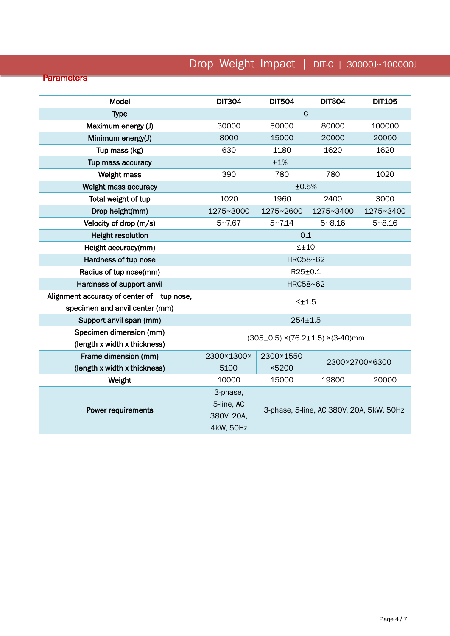## **Parameters**

| <b>Model</b>                                                                | <b>DIT304</b>                                     | <b>DIT504</b>                            | <b>DIT804</b> | <b>DIT105</b> |
|-----------------------------------------------------------------------------|---------------------------------------------------|------------------------------------------|---------------|---------------|
| <b>Type</b>                                                                 | $\mathsf{C}$                                      |                                          |               |               |
| Maximum energy (J)                                                          | 30000                                             | 50000                                    | 80000         | 100000        |
| Minimum energy(J)                                                           | 8000                                              | 15000                                    | 20000         | 20000         |
| Tup mass (kg)                                                               | 630                                               | 1180                                     | 1620          | 1620          |
| Tup mass accuracy                                                           | ±1%                                               |                                          |               |               |
| <b>Weight mass</b>                                                          | 390                                               | 780                                      | 780           | 1020          |
| Weight mass accuracy                                                        | ±0.5%                                             |                                          |               |               |
| Total weight of tup                                                         | 1020                                              | 1960                                     | 2400          | 3000          |
| Drop height(mm)                                                             | 1275~3000                                         | 1275~2600                                | 1275~3400     | 1275~3400     |
| Velocity of drop (m/s)                                                      | $5 - 7.67$                                        | $5 - 7.14$                               | $5 - 8.16$    | $5 - 8.16$    |
| <b>Height resolution</b>                                                    | 0.1                                               |                                          |               |               |
| Height accuracy(mm)                                                         | $\leq \pm 10$                                     |                                          |               |               |
| Hardness of tup nose                                                        | HRC58~62                                          |                                          |               |               |
| Radius of tup nose(mm)                                                      | $R25\pm0.1$                                       |                                          |               |               |
| Hardness of support anvil                                                   | HRC58~62                                          |                                          |               |               |
| Alignment accuracy of center of tup nose,<br>specimen and anvil center (mm) | $\leq \pm 1.5$                                    |                                          |               |               |
| Support anvil span (mm)                                                     | $254 \pm 1.5$                                     |                                          |               |               |
| Specimen dimension (mm)<br>(length x width x thickness)                     | $(305\pm0.5)$ ×(76.2 $\pm$ 1.5) ×(3-40)mm         |                                          |               |               |
| Frame dimension (mm)                                                        | 2300×1300×                                        | 2300×1550                                |               |               |
| (length x width x thickness)                                                | 5100                                              | 2300×2700×6300<br>×5200                  |               |               |
| Weight                                                                      | 10000                                             | 15000                                    | 19800         | 20000         |
| <b>Power requirements</b>                                                   | 3-phase,<br>5-line, AC<br>380V, 20A,<br>4kW, 50Hz | 3-phase, 5-line, AC 380V, 20A, 5kW, 50Hz |               |               |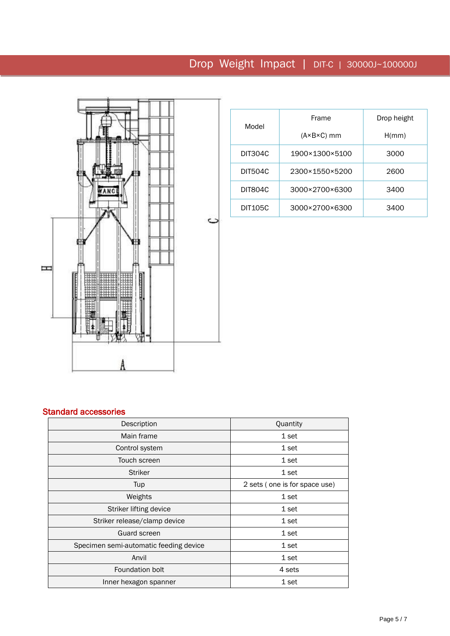

|                | Frame                      | Drop height |  |
|----------------|----------------------------|-------------|--|
| Model          | $(A \times B \times C)$ mm | H/mm)       |  |
| <b>DIT304C</b> | 1900×1300×5100             | 3000        |  |
| DIT504C        | 2300×1550×5200             | 2600        |  |
| <b>DIT804C</b> | 3000×2700×6300             | 3400        |  |
| <b>DIT105C</b> | 3000×2700×6300             | 3400        |  |

## Standard accessories

| Description                            | Quantity                      |  |
|----------------------------------------|-------------------------------|--|
| Main frame                             | 1 set                         |  |
| Control system                         | 1 set                         |  |
| Touch screen                           | 1 set                         |  |
| <b>Striker</b>                         | 1 set                         |  |
| Tup                                    | 2 sets (one is for space use) |  |
| Weights                                | 1 set                         |  |
| Striker lifting device                 | 1 set                         |  |
| Striker release/clamp device           | 1 set                         |  |
| <b>Guard screen</b>                    | 1 set                         |  |
| Specimen semi-automatic feeding device | 1 set                         |  |
| Anvil                                  | 1 set                         |  |
| Foundation bolt                        | 4 sets                        |  |
| Inner hexagon spanner                  | 1 set                         |  |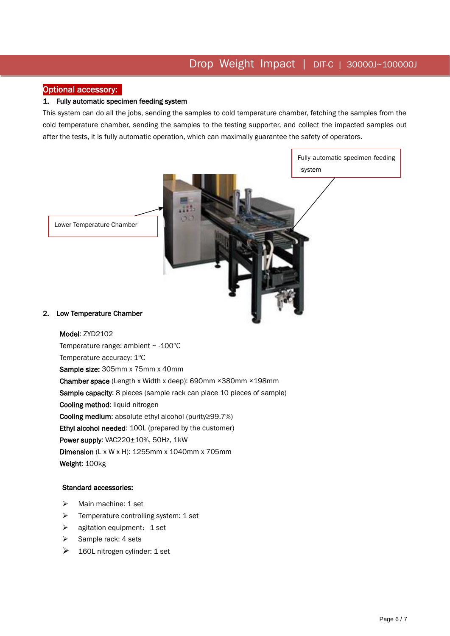## Optional accessory:

## 1. Fully automatic specimen feeding system

This system can do all the jobs, sending the samples to cold temperature chamber, fetching the samples from the cold temperature chamber, sending the samples to the testing supporter, and collect the impacted samples out after the tests, it is fully automatic operation, which can maximally guarantee the safety of operators.

> Fully automatic specimen feeding system

Lower Temperature Chamber

### 2. Low Temperature Chamber

 Sample capacity: 8 pieces (sample rack can place 10 pieces of sample) Model: ZYD2102 Temperature range: ambient ~ -100℃ Temperature accuracy: 1℃ Sample size: 305mm x 75mm x 40mm Chamber space (Length x Width x deep): 690mm ×380mm ×198mm Cooling method: liquid nitrogen Cooling medium: absolute ethyl alcohol (purity≥99.7%) Ethyl alcohol needed: 100L (prepared by the customer) Power supply: VAC220±10%, 50Hz, 1kW Dimension (L x W x H): 1255mm x 1040mm x 705mm Weight: 100kg

### Standard accessories:

- > Main machine: 1 set
- $\triangleright$  Temperature controlling system: 1 set
- $\triangleright$  agitation equipment: 1 set
- $\triangleright$  Sample rack: 4 sets
- $\geq$  160L nitrogen cylinder: 1 set